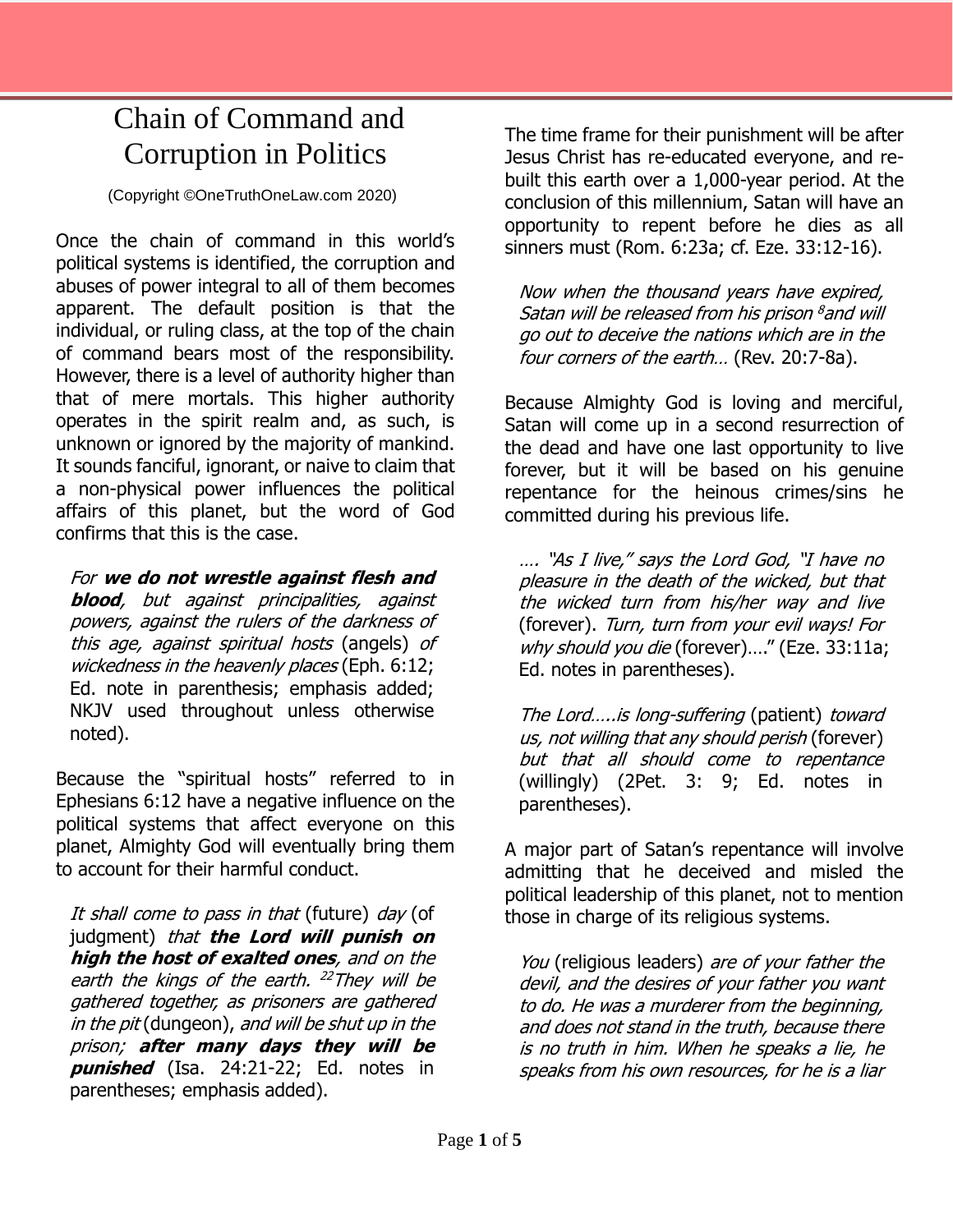## Chain of Command and Corruption in Politics

(Copyright ©OneTruthOneLaw.com 2020)

Once the chain of command in this world's political systems is identified, the corruption and abuses of power integral to all of them becomes apparent. The default position is that the individual, or ruling class, at the top of the chain of command bears most of the responsibility. However, there is a level of authority higher than that of mere mortals. This higher authority operates in the spirit realm and, as such, is unknown or ignored by the majority of mankind. It sounds fanciful, ignorant, or naive to claim that a non-physical power influences the political affairs of this planet, but the word of God confirms that this is the case.

For **we do not wrestle against flesh and blood**, but against principalities, against powers, against the rulers of the darkness of this age, against spiritual hosts (angels) of wickedness in the heavenly places (Eph. 6:12; Ed. note in parenthesis; emphasis added; NKJV used throughout unless otherwise noted).

Because the "spiritual hosts" referred to in Ephesians 6:12 have a negative influence on the political systems that affect everyone on this planet, Almighty God will eventually bring them to account for their harmful conduct.

It shall come to pass in that (future) day (of judgment) that **the Lord will punish on high the host of exalted ones**, and on the earth the kings of the earth. <sup>22</sup>They will be gathered together, as prisoners are gathered in the pit (dungeon), and will be shut up in the prison; **after many days they will be punished** (Isa. 24:21-22; Ed. notes in parentheses; emphasis added).

The time frame for their punishment will be after Jesus Christ has re-educated everyone, and rebuilt this earth over a 1,000-year period. At the conclusion of this millennium, Satan will have an opportunity to repent before he dies as all sinners must (Rom. 6:23a; cf. Eze. 33:12-16).

Now when the thousand years have expired, Satan will be released from his prison  $^{\rm 8}$ and will go out to deceive the nations which are in the four corners of the earth... (Rev. 20:7-8a).

Because Almighty God is loving and merciful, Satan will come up in a second resurrection of the dead and have one last opportunity to live forever, but it will be based on his genuine repentance for the heinous crimes/sins he committed during his previous life.

…. "As I live," says the Lord God, "I have no pleasure in the death of the wicked, but that the wicked turn from his/her way and live (forever). Turn, turn from your evil ways! For why should you die (forever)...." (Eze. 33:11a; Ed. notes in parentheses).

The Lord…..is long-suffering (patient) toward us, not willing that any should perish (forever) but that all should come to repentance (willingly) (2Pet. 3: 9; Ed. notes in parentheses).

A major part of Satan's repentance will involve admitting that he deceived and misled the political leadership of this planet, not to mention those in charge of its religious systems.

You (religious leaders) are of your father the devil, and the desires of your father you want to do. He was a murderer from the beginning, and does not stand in the truth, because there is no truth in him. When he speaks a lie, he speaks from his own resources, for he is a liar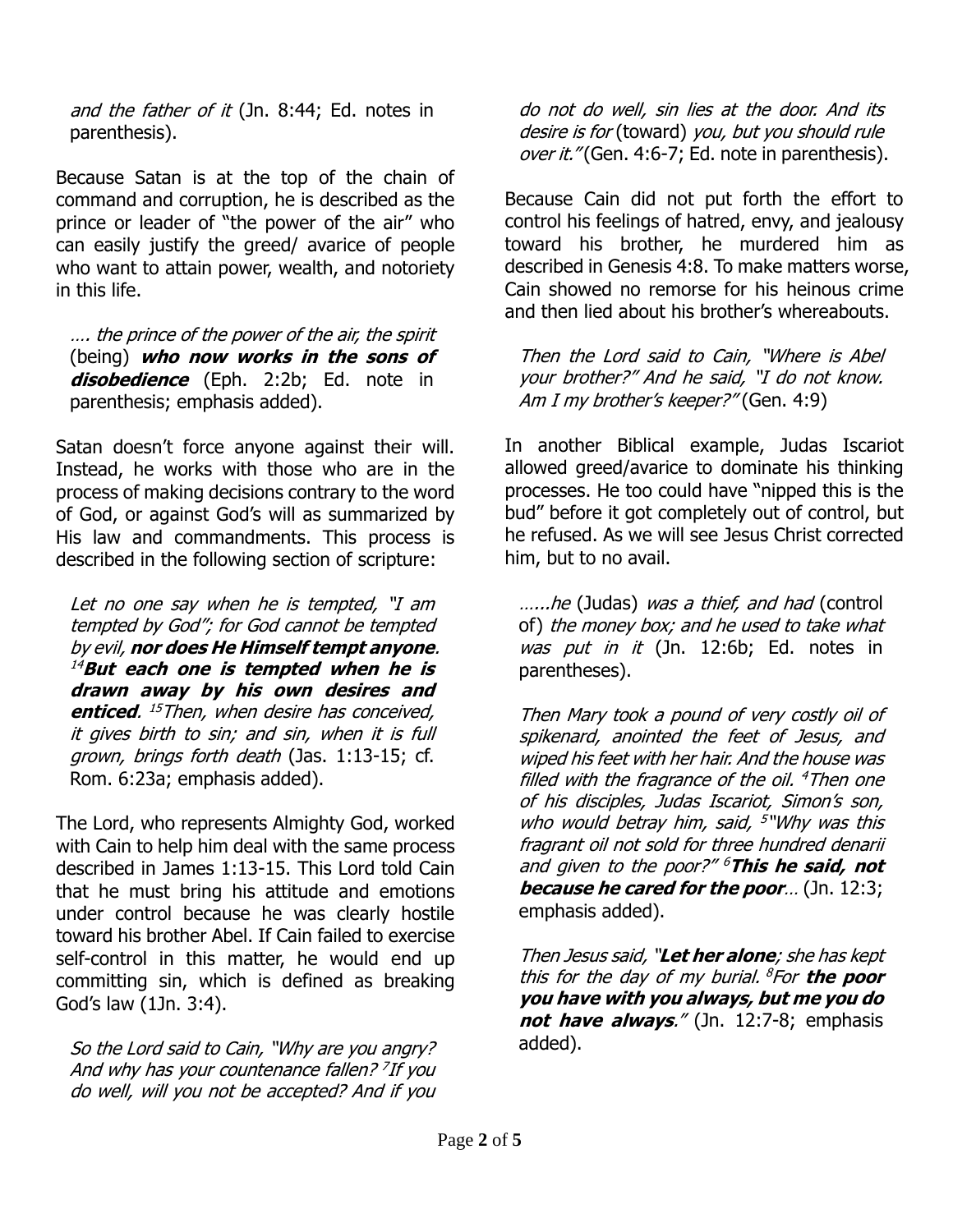and the father of it (Jn. 8:44; Ed. notes in parenthesis).

Because Satan is at the top of the chain of command and corruption, he is described as the prince or leader of "the power of the air" who can easily justify the greed/ avarice of people who want to attain power, wealth, and notoriety in this life.

…. the prince of the power of the air, the spirit (being) **who now works in the sons of disobedience** (Eph. 2:2b; Ed. note in parenthesis; emphasis added).

Satan doesn't force anyone against their will. Instead, he works with those who are in the process of making decisions contrary to the word of God, or against God's will as summarized by His law and commandments. This process is described in the following section of scripture:

Let no one say when he is tempted, "I am tempted by God"; for God cannot be tempted by evil, **nor does He Himself tempt anyone**. <sup>14</sup>**But each one is tempted when he is drawn away by his own desires and enticed**. <sup>15</sup>Then, when desire has conceived, it gives birth to sin; and sin, when it is full grown, brings forth death (Jas. 1:13-15; cf. Rom. 6:23a; emphasis added).

The Lord, who represents Almighty God, worked with Cain to help him deal with the same process described in James 1:13-15. This Lord told Cain that he must bring his attitude and emotions under control because he was clearly hostile toward his brother Abel. If Cain failed to exercise self-control in this matter, he would end up committing sin, which is defined as breaking God's law (1Jn. 3:4).

So the Lord said to Cain, "Why are you angry? And why has your countenance fallen? 7 If you do well, will you not be accepted? And if you do not do well, sin lies at the door. And its desire is for (toward) you, but you should rule over it." (Gen. 4:6-7; Ed. note in parenthesis).

Because Cain did not put forth the effort to control his feelings of hatred, envy, and jealousy toward his brother, he murdered him as described in Genesis 4:8. To make matters worse, Cain showed no remorse for his heinous crime and then lied about his brother's whereabouts.

Then the Lord said to Cain, "Where is Abel your brother?" And he said, "I do not know. Am I my brother's keeper?" (Gen. 4:9)

In another Biblical example, Judas Iscariot allowed greed/avarice to dominate his thinking processes. He too could have "nipped this is the bud" before it got completely out of control, but he refused. As we will see Jesus Christ corrected him, but to no avail.

.....he (Judas) was a thief, and had (control of) the money box; and he used to take what was put in it (Jn. 12:6b; Ed. notes in parentheses).

Then Mary took a pound of very costly oil of spikenard, anointed the feet of Jesus, and wiped his feet with her hair. And the house was filled with the fragrance of the oil. <sup>4</sup>Then one of his disciples, Judas Iscariot, Simon's son, who would betray him, said, <sup>5</sup>"Why was this fragrant oil not sold for three hundred denarii and given to the poor?" <sup>6</sup>**This he said, not because he cared for the poor**… (Jn. 12:3; emphasis added).

Then Jesus said, "**Let her alone**; she has kept this for the day of my burial. <sup>8</sup> For **the poor you have with you always, but me you do not have always**." (Jn. 12:7-8; emphasis added).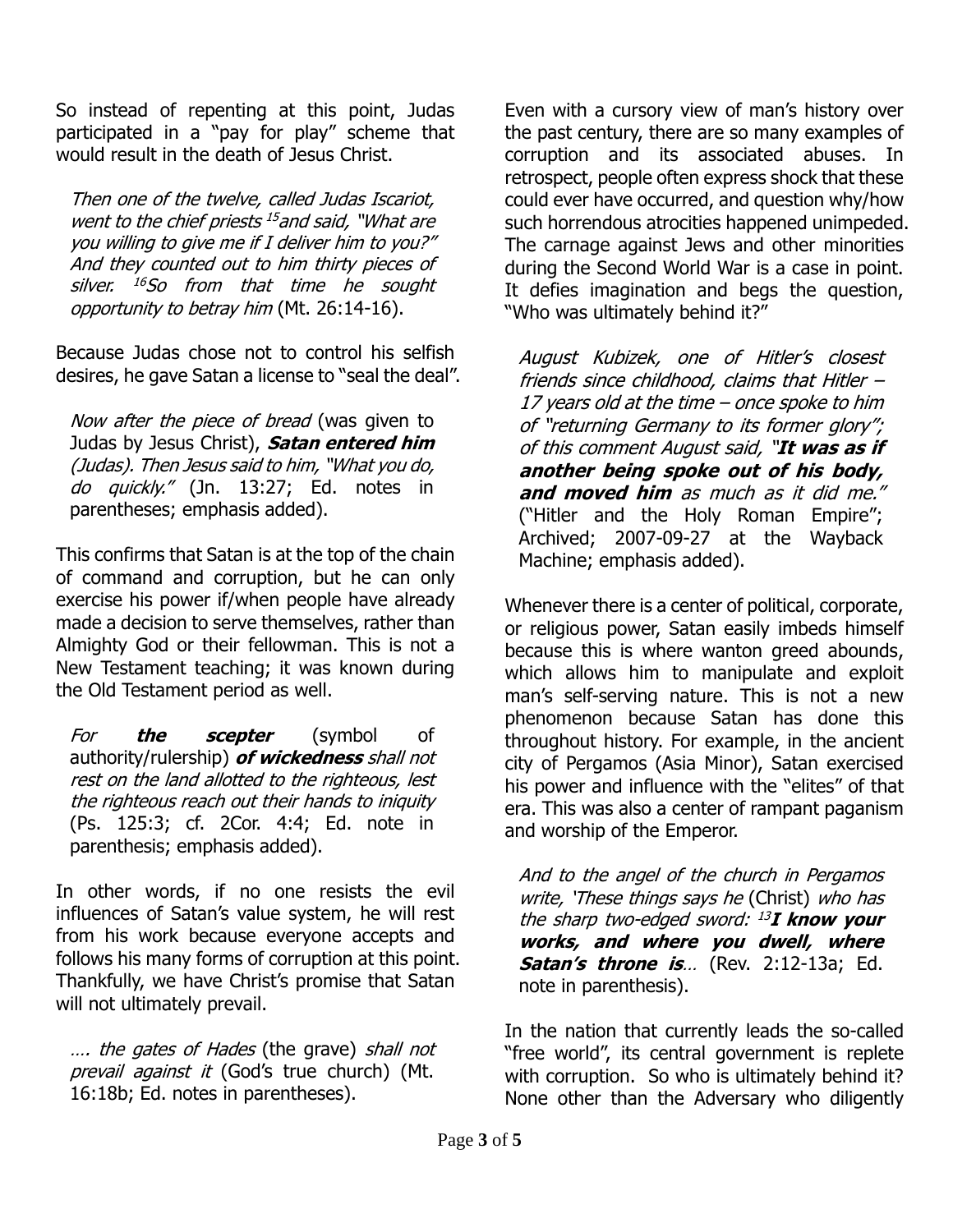So instead of repenting at this point, Judas participated in a "pay for play" scheme that would result in the death of Jesus Christ.

Then one of the twelve, called Judas Iscariot, went to the chief priests <sup>15</sup> and said, "What are you willing to give me if I deliver him to you?" And they counted out to him thirty pieces of silver. <sup>16</sup>So from that time he sought opportunity to betray him (Mt. 26:14-16).

Because Judas chose not to control his selfish desires, he gave Satan a license to "seal the deal".

Now after the piece of bread (was given to Judas by Jesus Christ), **Satan entered him** (Judas). Then Jesus said to him, "What you do, do quickly." (Jn. 13:27; Ed. notes in parentheses; emphasis added).

This confirms that Satan is at the top of the chain of command and corruption, but he can only exercise his power if/when people have already made a decision to serve themselves, rather than Almighty God or their fellowman. This is not a New Testament teaching; it was known during the Old Testament period as well.

For **the scepter** (symbol of authority/rulership) **of wickedness** shall not rest on the land allotted to the righteous, lest the righteous reach out their hands to iniquity (Ps. 125:3; cf. 2Cor. 4:4; Ed. note in parenthesis; emphasis added).

In other words, if no one resists the evil influences of Satan's value system, he will rest from his work because everyone accepts and follows his many forms of corruption at this point. Thankfully, we have Christ's promise that Satan will not ultimately prevail.

.... the gates of Hades (the grave) shall not prevail against it (God's true church) (Mt. 16:18b; Ed. notes in parentheses).

Even with a cursory view of man's history over the past century, there are so many examples of corruption and its associated abuses. In retrospect, people often express shock that these could ever have occurred, and question why/how such horrendous atrocities happened unimpeded. The carnage against Jews and other minorities during the Second World War is a case in point. It defies imagination and begs the question, "Who was ultimately behind it?"

August Kubizek, one of Hitler's closest friends since childhood, claims that Hitler – 17 years old at the time – once spoke to him of "returning Germany to its former glory"; of this comment August said, "**It was as if another being spoke out of his body, and moved him** as much as it did me." ("Hitler and the Holy Roman Empire"; Archived; 2007-09-27 at the Wayback Machine; emphasis added).

Whenever there is a center of political, corporate, or religious power, Satan easily imbeds himself because this is where wanton greed abounds, which allows him to manipulate and exploit man's self-serving nature. This is not a new phenomenon because Satan has done this throughout history. For example, in the ancient city of Pergamos (Asia Minor), Satan exercised his power and influence with the "elites" of that era. This was also a center of rampant paganism and worship of the Emperor.

And to the angel of the church in Pergamos write, 'These things says he (Christ) who has the sharp two-edged sword: <sup>13</sup> **I know your works, and where you dwell, where Satan's throne is**… (Rev. 2:12-13a; Ed. note in parenthesis).

In the nation that currently leads the so-called "free world", its central government is replete with corruption. So who is ultimately behind it? None other than the Adversary who diligently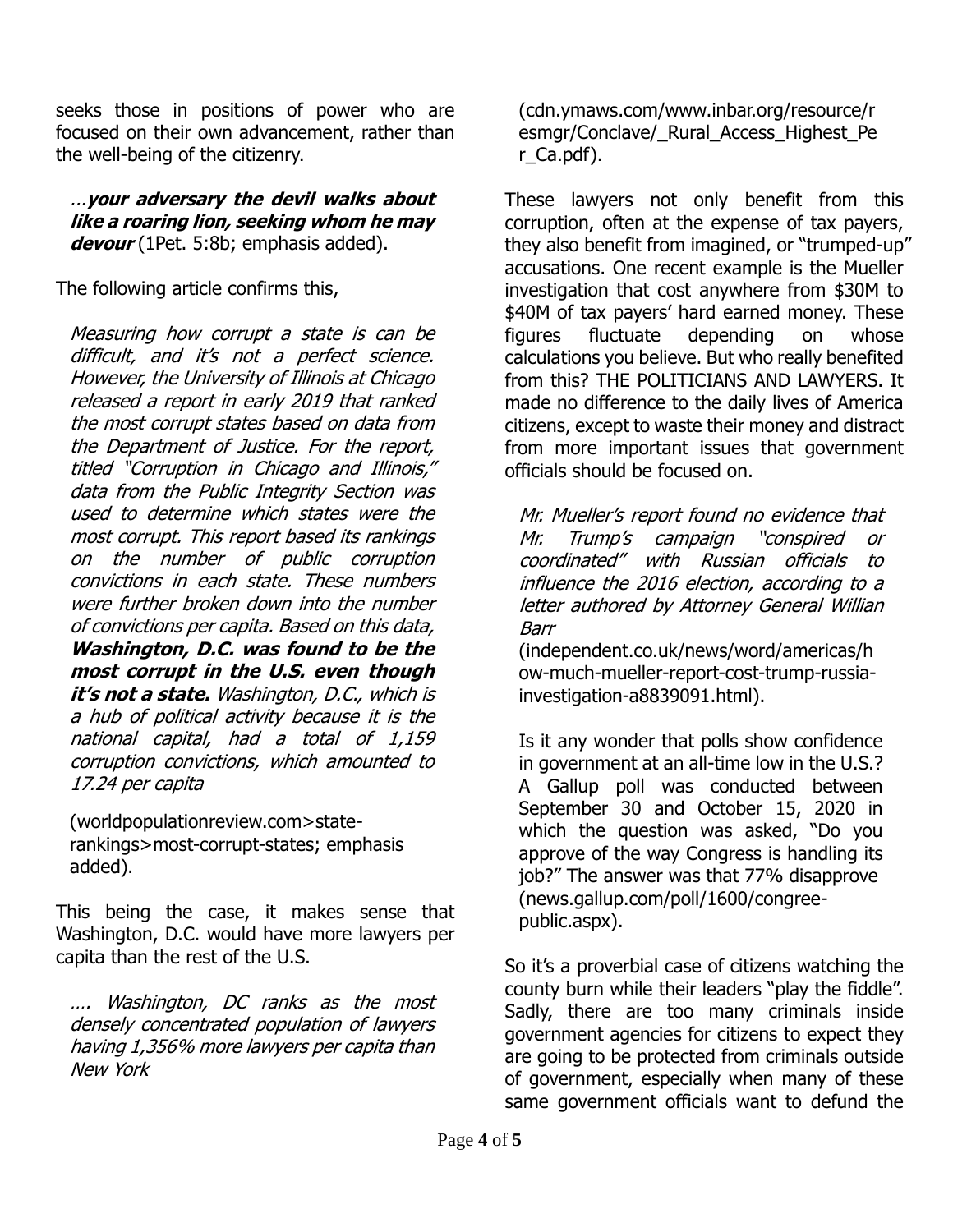seeks those in positions of power who are focused on their own advancement, rather than the well-being of the citizenry.

...**your adversary the devil walks about like a roaring lion, seeking whom he may devour** (1Pet. 5:8b; emphasis added).

The following article confirms this,

Measuring how corrupt a state is can be difficult, and it's not a perfect science. However, the University of Illinois at Chicago released a report in early 2019 that ranked the most corrupt states based on data from the Department of Justice. For the report, titled "Corruption in Chicago and Illinois," data from the Public Integrity Section was used to determine which states were the most corrupt. This report based its rankings on the number of public corruption convictions in each state. These numbers were further broken down into the number of convictions per capita. Based on this data, **Washington, D.C. was found to be the most corrupt in the U.S. even though it's not a state.** Washington, D.C., which is a hub of political activity because it is the national capital, had a total of 1,159 corruption convictions, which amounted to 17.24 per capita

(worldpopulationreview.com>staterankings>most-corrupt-states; emphasis added).

This being the case, it makes sense that Washington, D.C. would have more lawyers per capita than the rest of the U.S.

…. Washington, DC ranks as the most densely concentrated population of lawyers having 1,356% more lawyers per capita than New York

(cdn.ymaws.com/www.inbar.org/resource/r esmgr/Conclave/\_Rural\_Access\_Highest\_Pe r\_Ca.pdf).

These lawyers not only benefit from this corruption, often at the expense of tax payers, they also benefit from imagined, or "trumped-up" accusations. One recent example is the Mueller investigation that cost anywhere from \$30M to \$40M of tax payers' hard earned money. These figures fluctuate depending on whose calculations you believe. But who really benefited from this? THE POLITICIANS AND LAWYERS. It made no difference to the daily lives of America citizens, except to waste their money and distract from more important issues that government officials should be focused on.

Mr. Mueller's report found no evidence that Mr. Trump's campaign "conspired or coordinated" with Russian officials to influence the 2016 election, according to a letter authored by Attorney General Willian Barr

(independent.co.uk/news/word/americas/h ow-much-mueller-report-cost-trump-russiainvestigation-a8839091.html).

Is it any wonder that polls show confidence in government at an all-time low in the U.S.? A Gallup poll was conducted between September 30 and October 15, 2020 in which the question was asked, "Do you approve of the way Congress is handling its job?" The answer was that 77% disapprove (news.gallup.com/poll/1600/congreepublic.aspx).

So it's a proverbial case of citizens watching the county burn while their leaders "play the fiddle". Sadly, there are too many criminals inside government agencies for citizens to expect they are going to be protected from criminals outside of government, especially when many of these same government officials want to defund the